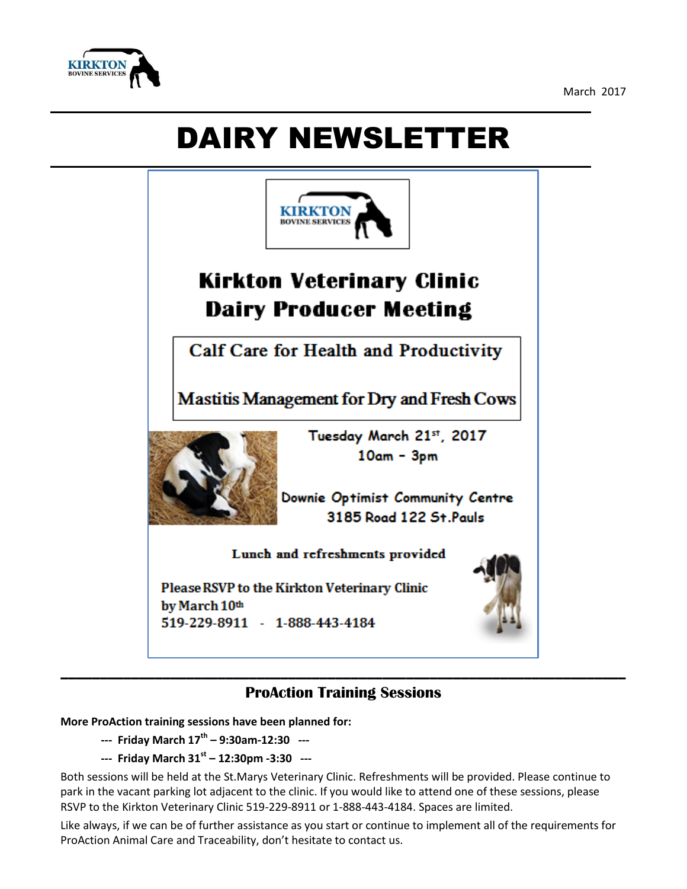

March 2017

## DAIRY NEWSLETTER



## **ProAction Training Sessions**

**More ProAction training sessions have been planned for:**

- **--- Friday March 17th – 9:30am-12:30 ---**
- **--- Friday March 31st – 12:30pm -3:30 ---**

Both sessions will be held at the St.Marys Veterinary Clinic. Refreshments will be provided. Please continue to park in the vacant parking lot adjacent to the clinic. If you would like to attend one of these sessions, please RSVP to the Kirkton Veterinary Clinic 519-229-8911 or 1-888-443-4184. Spaces are limited.

Like always, if we can be of further assistance as you start or continue to implement all of the requirements for ProAction Animal Care and Traceability, don't hesitate to contact us.